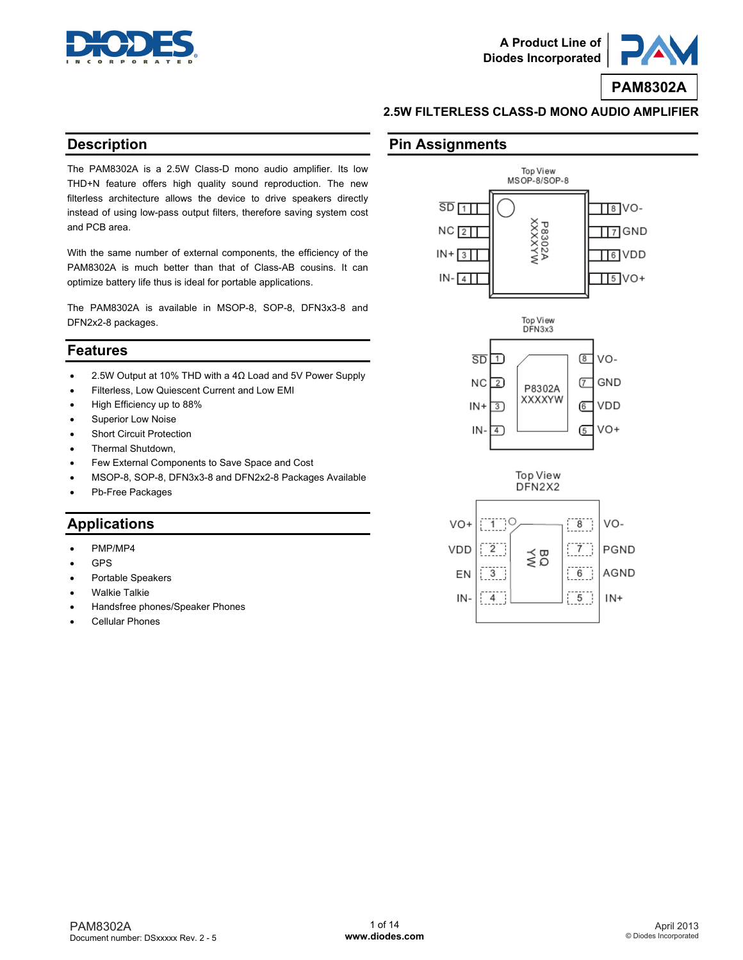



### **2.5W FILTERLESS CLASS-D MONO AUDIO AMPLIFIER**

### **Description**

The PAM8302A is a 2.5W Class-D mono audio amplifier. Its low THD+N feature offers high quality sound reproduction. The new filterless architecture allows the device to drive speakers directly instead of using low-pass output filters, therefore saving system cost and PCB area.

With the same number of external components, the efficiency of the PAM8302A is much better than that of Class-AB cousins. It can optimize battery life thus is ideal for portable applications.

The PAM8302A is available in MSOP-8, SOP-8, DFN3x3-8 and DFN2x2-8 packages.

### **Features**

- $\bullet$  2.5W Output at 10% THD with a 4Ω Load and 5V Power Supply
- Filterless, Low Quiescent Current and Low EMI
- High Efficiency up to 88%
- Superior Low Noise
- Short Circuit Protection
- Thermal Shutdown,
- Few External Components to Save Space and Cost
- MSOP-8, SOP-8, DFN3x3-8 and DFN2x2-8 Packages Available
- Pb-Free Packages

## **Applications**

- PMP/MP4
- GPS
- Portable Speakers
- Walkie Talkie
- Handsfree phones/Speaker Phones
- Cellular Phones

### **Pin Assignments**

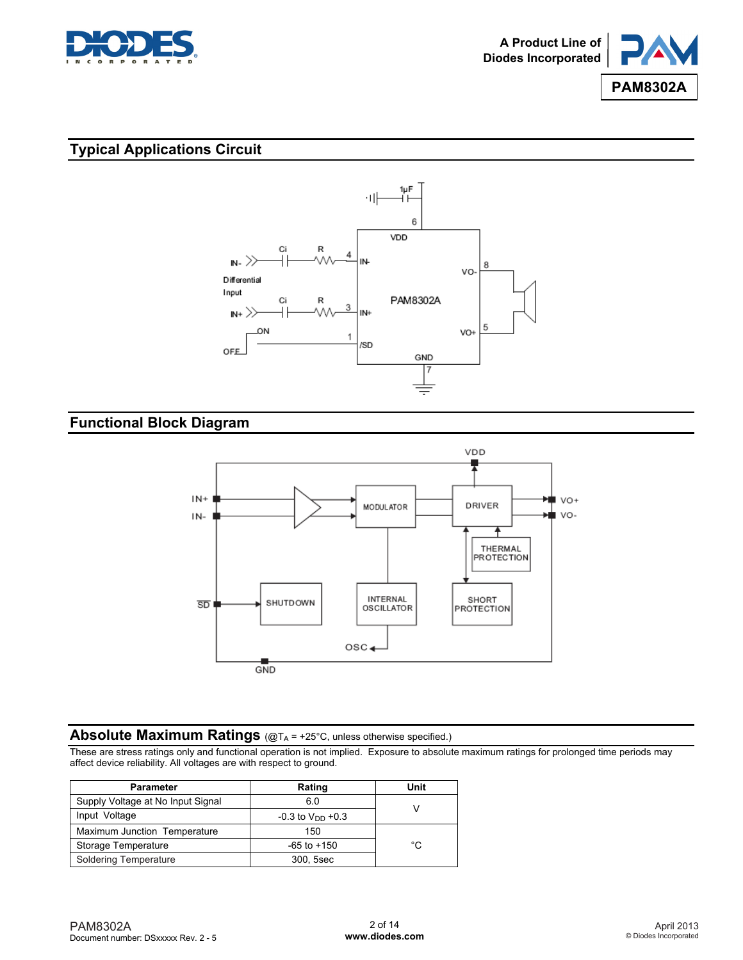



## **Typical Applications Circuit**



## **Functional Block Diagram**



## Absolute Maximum Ratings (@TA = +25°C, unless otherwise specified.)

These are stress ratings only and functional operation is not implied. Exposure to absolute maximum ratings for prolonged time periods may affect device reliability. All voltages are with respect to ground.

| <b>Parameter</b>                  | Rating                           | Unit |
|-----------------------------------|----------------------------------|------|
| Supply Voltage at No Input Signal | 6.0                              |      |
| Input Voltage                     | $-0.3$ to V <sub>DD</sub> $+0.3$ |      |
| Maximum Junction Temperature      | 150                              |      |
| Storage Temperature               | $-65$ to $+150$                  | °C   |
| Soldering Temperature             | 300, 5sec                        |      |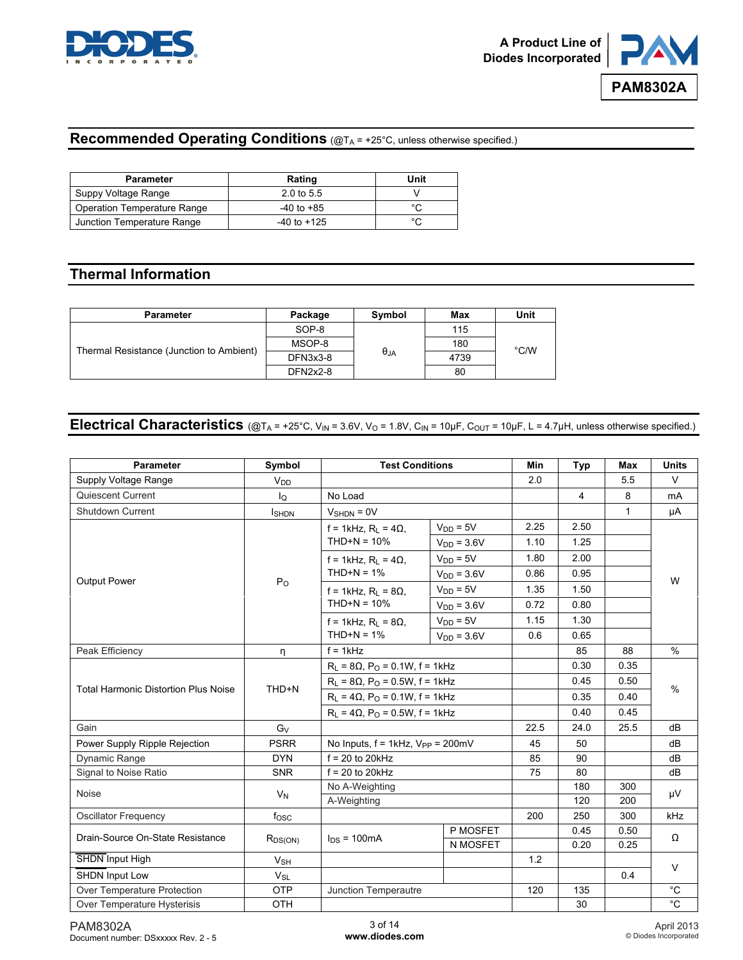



## **Recommended Operating Conditions** (@TA = +25°C, unless otherwise specified.)

| Parameter                   | Rating                | Unit   |
|-----------------------------|-----------------------|--------|
| Suppy Voltage Range         | $2.0 \text{ to } 5.5$ |        |
| Operation Temperature Range | $-40$ to $+85$        | $\sim$ |
| Junction Temperature Range  | $-40$ to $+125$       | $\sim$ |

## **Thermal Information**

| <b>Parameter</b>                         | Package  | Symbol      | Max  | Unit          |
|------------------------------------------|----------|-------------|------|---------------|
|                                          | SOP-8    |             | 115  |               |
| Thermal Resistance (Junction to Ambient) | MSOP-8   |             | 180  | $\degree$ C/W |
|                                          | DFN3x3-8 | $\theta$ JA | 4739 |               |
|                                          | DFN2x2-8 |             | 80   |               |

# **Electrical Characteristics**  $(\text{\&} T_A = +25^{\circ}C, V_{IN} = 3.6V, V_O = 1.8V, C_{IN} = 10 \mu F, C_{OUT} = 10 \mu F, L = 4.7 \mu H,$  unless otherwise specified.)

| <b>Parameter</b>                                 | Symbol           | <b>Test Conditions</b>                               |                                          | <b>Min</b> | Typ            | Max          | <b>Units</b>  |
|--------------------------------------------------|------------------|------------------------------------------------------|------------------------------------------|------------|----------------|--------------|---------------|
| Supply Voltage Range                             | $V_{DD}$         |                                                      |                                          | 2.0        |                | 5.5          | $\vee$        |
| Quiescent Current                                | lo               | No Load                                              |                                          |            | $\overline{4}$ | 8            | mA            |
| <b>Shutdown Current</b>                          | <b>I</b> SHDN    | $V_{SHDN} = 0V$                                      |                                          |            |                | $\mathbf{1}$ | μA            |
|                                                  |                  | $f = 1$ kHz, R <sub>1</sub> = 4 $\Omega$             | $V_{DD} = 5V$                            | 2.25       | 2.50           |              |               |
|                                                  |                  | $THD+N = 10%$                                        | $VDD = 3.6V$                             | 1.10       | 1.25           |              |               |
|                                                  |                  | $f = 1$ kHz, R <sub>l</sub> = 4 $\Omega$ ,           | $V_{DD} = 5V$                            | 1.80       | 2.00           |              |               |
|                                                  |                  | $THD+N = 1%$                                         | $VDD = 3.6V$                             | 0.86       | 0.95           |              |               |
| <b>Output Power</b>                              | P <sub>O</sub>   | $f = 1$ kHz, R <sub>1</sub> = 8 $\Omega$             | $V_{DD} = 5V$                            | 1.35       | 1.50           |              | W             |
|                                                  |                  | $THD+N = 10%$                                        | $VDD = 3.6V$                             | 0.72       | 0.80           |              |               |
|                                                  |                  | $f = 1$ kHz, R <sub>l</sub> = 8 $\Omega$ ,           | $V_{DD} = 5V$                            | 1.15       | 1.30           |              |               |
|                                                  |                  | $THD+N = 1%$                                         | $VDD = 3.6V$                             | 0.6        | 0.65           |              |               |
| Peak Efficiency                                  | η                | $f = 1kHz$                                           |                                          |            | 85             | 88           | $\frac{0}{0}$ |
|                                                  |                  | $R_1 = 8\Omega$ , $P_0 = 0.1W$ , f = 1kHz            |                                          |            | 0.30           | 0.35         | $\%$          |
|                                                  | THD+N            | $R_L$ = 8 $\Omega$ , P <sub>O</sub> = 0.5W, f = 1kHz |                                          |            | 0.45           | 0.50         |               |
| <b>Total Harmonic Distortion Plus Noise</b>      |                  | $R_L = 4\Omega$ , $P_O = 0.1W$ , f = 1kHz            |                                          |            | 0.35           | 0.40         |               |
|                                                  |                  | $R_1 = 4\Omega$ , $P_0 = 0.5W$ , f = 1kHz            |                                          |            | 0.40           | 0.45         |               |
| Gain                                             | $G_V$            |                                                      |                                          | 22.5       | 24.0           | 25.5         | dB            |
| Power Supply Ripple Rejection                    | <b>PSRR</b>      |                                                      | No Inputs, $f = 1kHz$ , $V_{PP} = 200mV$ |            | 50             |              | dB            |
| Dynamic Range                                    | <b>DYN</b>       | $f = 20$ to 20kHz                                    |                                          | 85         | 90             |              | dB            |
| Signal to Noise Ratio                            | <b>SNR</b>       | $f = 20$ to 20kHz                                    |                                          | 75         | 80             |              | dB            |
| <b>Noise</b>                                     | $V_N$            | No A-Weighting                                       |                                          |            | 180            | 300          | μV            |
|                                                  |                  | A-Weighting                                          |                                          |            | 120            | 200          |               |
| <b>Oscillator Frequency</b>                      | f <sub>OSC</sub> |                                                      |                                          | 200        | 250            | 300          | kHz           |
| Drain-Source On-State Resistance<br>$R_{DS(ON)}$ |                  | $I_{DS}$ = 100mA                                     | P MOSFET                                 |            | 0.45           | 0.50         | $\Omega$      |
|                                                  |                  | N MOSFET                                             |                                          | 0.20       | 0.25           |              |               |
| SHDN Input High                                  | $V_{SH}$         |                                                      |                                          | 1.2        |                |              | $\vee$        |
| SHDN Input Low                                   | $V_{SL}$         |                                                      |                                          | 120        |                | 0.4          |               |
| Over Temperature Protection                      | <b>OTP</b>       | Junction Temperautre                                 |                                          |            | 135            |              | $^{\circ}C$   |
| Over Temperature Hysterisis                      | <b>OTH</b>       |                                                      |                                          |            | 30             |              | $^{\circ}C$   |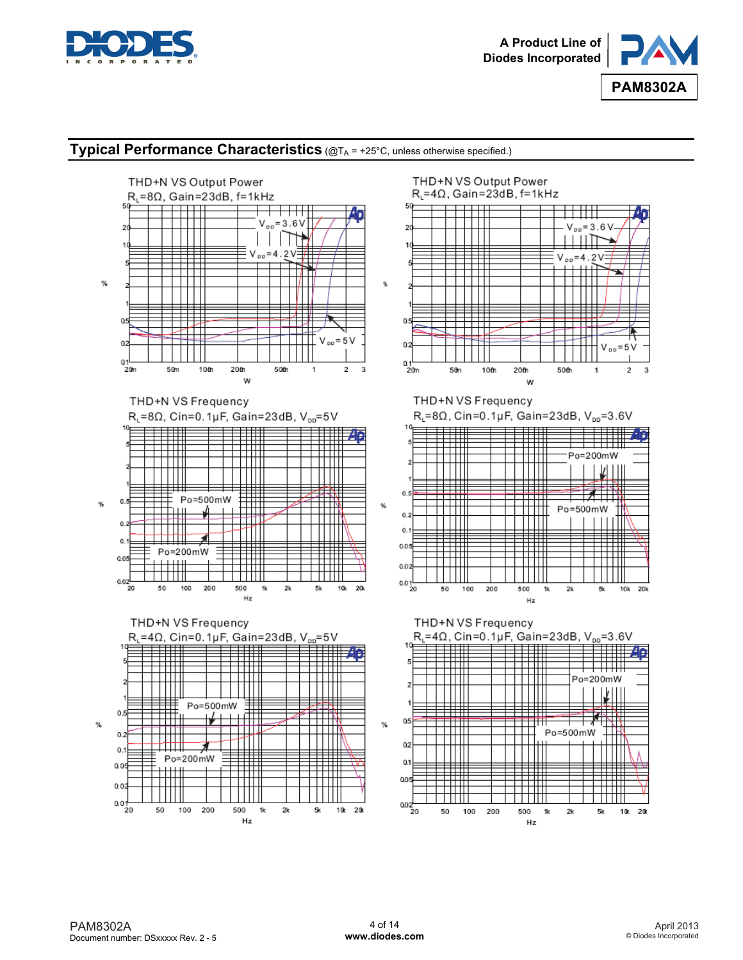



### **Typical Performance Characteristics** (@TA = +25°C, unless otherwise specified.)

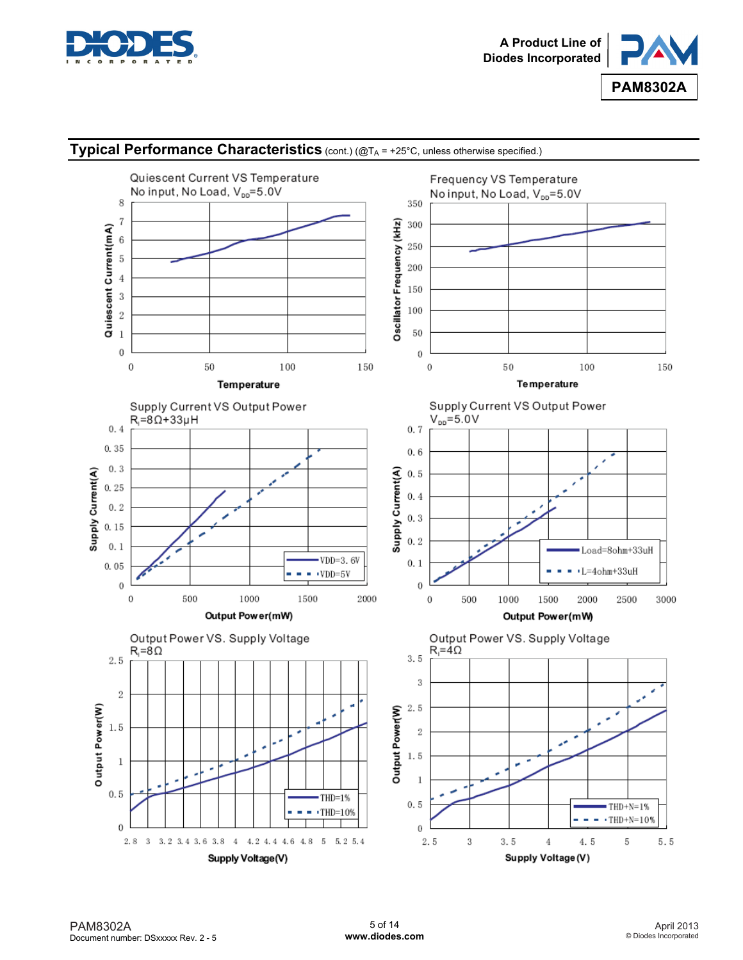



## **Typical Performance Characteristics** (cont.) (@TA = +25°C, unless otherwise specified.)

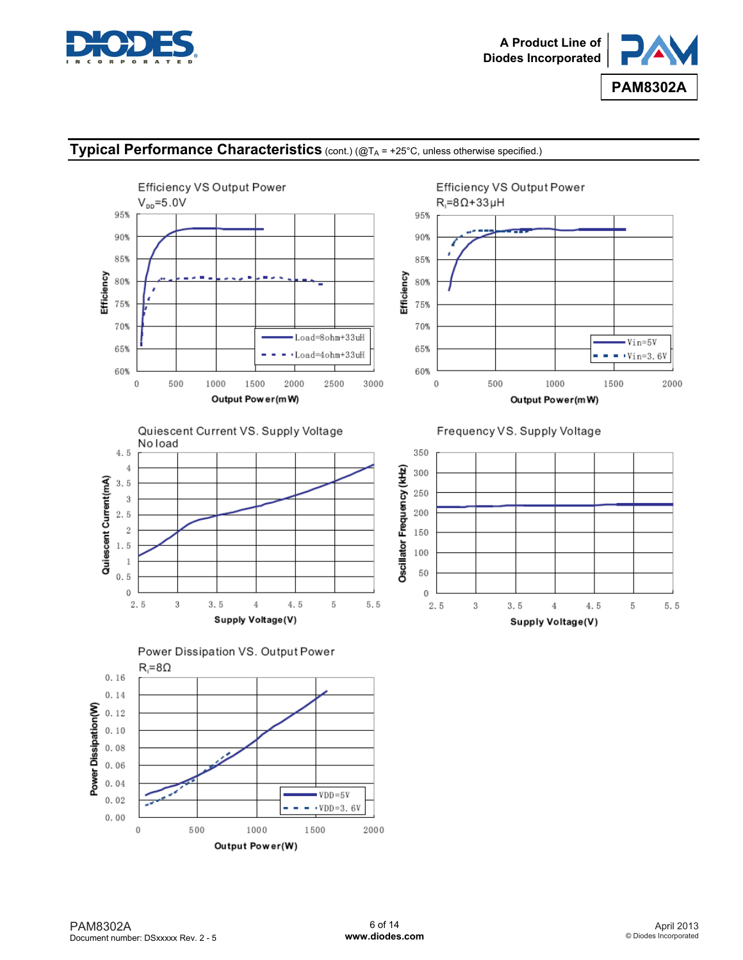

Efficiency VS Output Power



Vin=5V

 $\cdot$  Vin=3.6V

2000

## **Typical Performance Characteristics** (cont.) (@TA = +25°C, unless otherwise specified.)





 $R_1 = 8\Omega + 33\mu H$ 

95%

90%

85%



Power Dissipation VS. Output Power



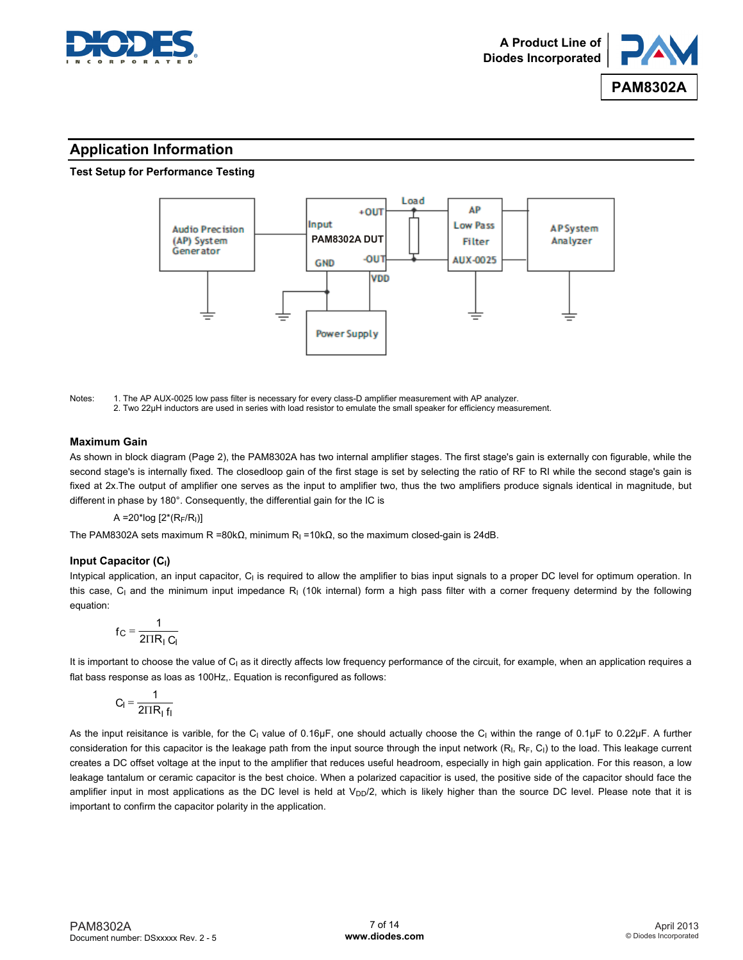



## **Application Information**

#### **Test Setup for Performance Testing**



Notes: 1. The AP AUX-0025 low pass filter is necessary for every class-D amplifier measurement with AP analyzer. 2. Two 22μH inductors are used in series with load resistor to emulate the small speaker for efficiency measurement.

#### **Maximum Gain**

As shown in block diagram (Page 2), the PAM8302A has two internal amplifier stages. The first stage's gain is externally con figurable, while the second stage's is internally fixed. The closedloop gain of the first stage is set by selecting the ratio of RF to RI while the second stage's gain is fixed at 2x.The output of amplifier one serves as the input to amplifier two, thus the two amplifiers produce signals identical in magnitude, but different in phase by 180°. Consequently, the differential gain for the IC is

 $A = 20$ \*log  $[2*(R_F/R_I)]$ 

The PAM8302A sets maximum R =80kΩ, minimum R<sub>I</sub> =10kΩ, so the maximum closed-gain is 24dB.

#### **Input Capacitor (CI)**

Intypical application, an input capacitor,  $C_1$  is required to allow the amplifier to bias input signals to a proper DC level for optimum operation. In this case, C<sub>I</sub> and the minimum input impedance R<sub>I</sub> (10k internal) form a high pass filter with a corner frequeny determind by the following equation:

$$
f_C = \frac{1}{2 \Pi R_1 C_1}
$$

It is important to choose the value of C<sub>I</sub> as it directly affects low frequency performance of the circuit, for example, when an application requires a flat bass response as loas as 100Hz,. Equation is reconfigured as follows:

$$
C_l = \frac{1}{2 \Pi R_l f_l}
$$

As the input reisitance is varible, for the C<sub>I</sub> value of 0.16µF, one should actually choose the C<sub>I</sub> within the range of 0.1µF to 0.22µF. A further consideration for this capacitor is the leakage path from the input source through the input network  $(R<sub>1</sub>, R<sub>F</sub>, C<sub>1</sub>)$  to the load. This leakage current creates a DC offset voltage at the input to the amplifier that reduces useful headroom, especially in high gain application. For this reason, a low leakage tantalum or ceramic capacitor is the best choice. When a polarized capacitior is used, the positive side of the capacitor should face the amplifier input in most applications as the DC level is held at V<sub>DD</sub>/2, which is likely higher than the source DC level. Please note that it is important to confirm the capacitor polarity in the application.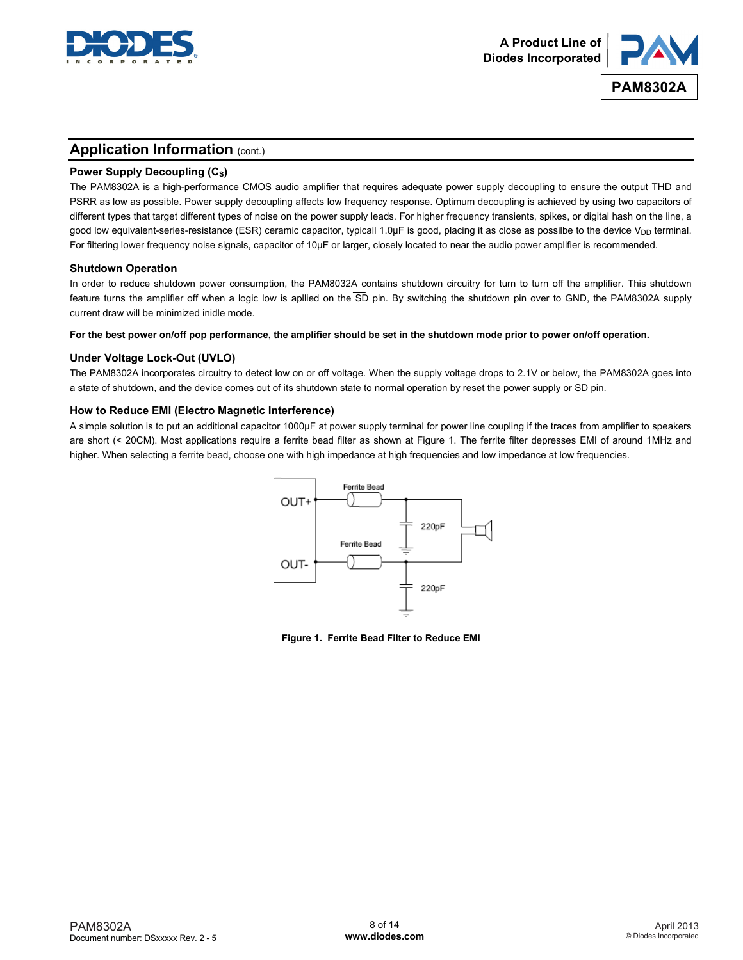



### **Application Information (cont.)**

#### **Power Supply Decoupling (C<sub>S</sub>)**

The PAM8302A is a high-performance CMOS audio amplifier that requires adequate power supply decoupling to ensure the output THD and PSRR as low as possible. Power supply decoupling affects low frequency response. Optimum decoupling is achieved by using two capacitors of different types that target different types of noise on the power supply leads. For higher frequency transients, spikes, or digital hash on the line, a good low equivalent-series-resistance (ESR) ceramic capacitor, typicall 1.0µF is good, placing it as close as possilbe to the device V<sub>DD</sub> terminal. For filtering lower frequency noise signals, capacitor of 10µF or larger, closely located to near the audio power amplifier is recommended.

#### **Shutdown Operation**

In order to reduce shutdown power consumption, the PAM8032A contains shutdown circuitry for turn to turn off the amplifier. This shutdown feature turns the amplifier off when a logic low is aplied on the  $\overline{SD}$  pin. By switching the shutdown pin over to GND, the PAM8302A supply current draw will be minimized inidle mode.

**For the best power on/off pop performance, the amplifier should be set in the shutdown mode prior to power on/off operation.** 

#### **Under Voltage Lock-Out (UVLO)**

The PAM8302A incorporates circuitry to detect low on or off voltage. When the supply voltage drops to 2.1V or below, the PAM8302A goes into a state of shutdown, and the device comes out of its shutdown state to normal operation by reset the power supply or SD pin.

#### **How to Reduce EMI (Electro Magnetic Interference)**

A simple solution is to put an additional capacitor 1000μF at power supply terminal for power line coupling if the traces from amplifier to speakers are short (< 20CM). Most applications require a ferrite bead filter as shown at Figure 1. The ferrite filter depresses EMI of around 1MHz and higher. When selecting a ferrite bead, choose one with high impedance at high frequencies and low impedance at low frequencies.



**Figure 1. Ferrite Bead Filter to Reduce EMI**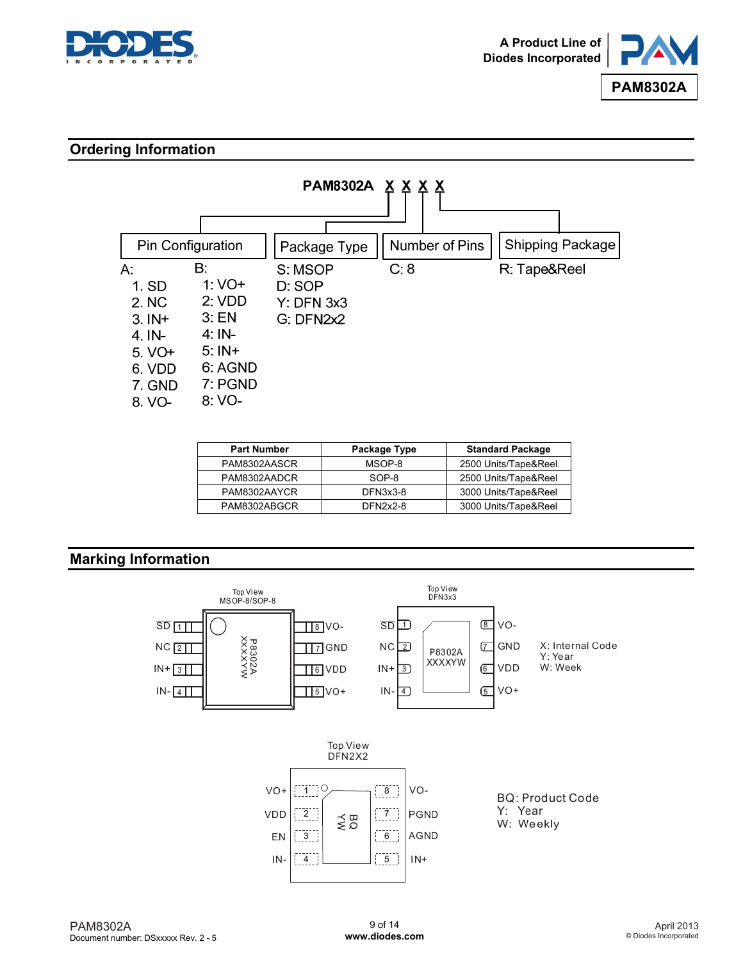



## **Ordering Information**



| <b>Part Number</b> | Package Type | <b>Standard Package</b> |
|--------------------|--------------|-------------------------|
| PAM8302AASCR       | MSOP-8       | 2500 Units/Tape&Reel    |
| PAM8302AADCR       | SOP-8        | 2500 Units/Tape&Reel    |
| PAM8302AAYCR       | DFN3x3-8     | 3000 Units/Tape&Reel    |
| PAM8302ABGCR       | DFN2x2-8     | 3000 Units/Tape&Reel    |

### **Marking Information**

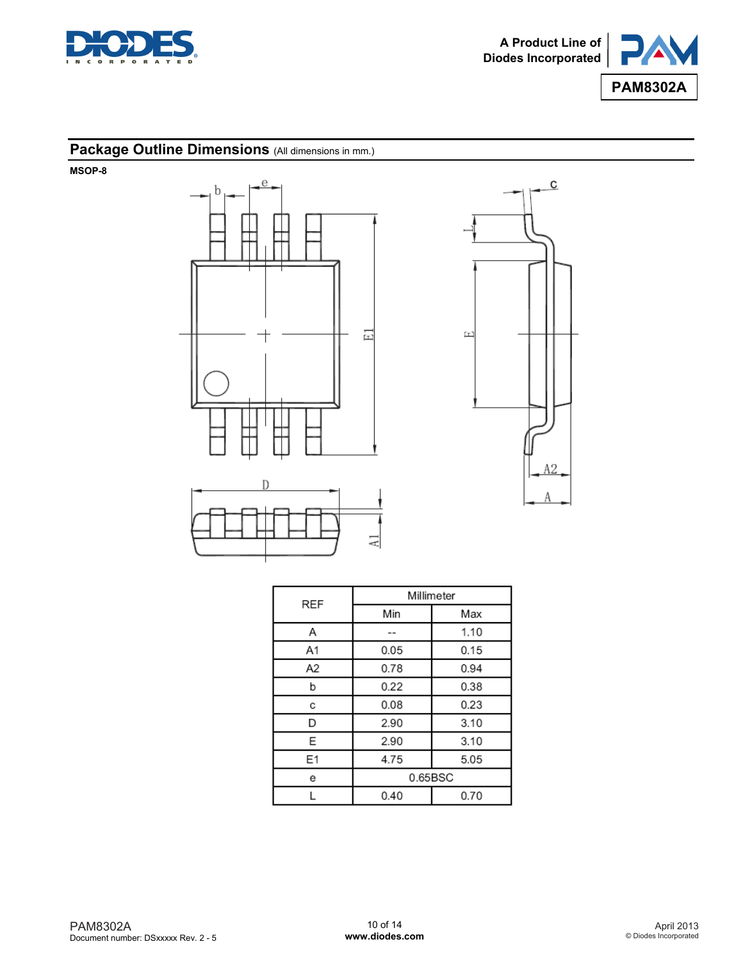



## Package Outline Dimensions (All dimensions in mm.)

**MSOP-8** 





| REF            | Millimeter |      |  |
|----------------|------------|------|--|
|                | Min        | Max  |  |
| Α              | $\sim$     | 1.10 |  |
| A <sub>1</sub> | 0.05       | 0.15 |  |
| A2             | 0.78       | 0.94 |  |
| b              | 0.22       | 0.38 |  |
| с              | 0.08       | 0.23 |  |
| D              | 2.90       | 3.10 |  |
| Ε              | 2.90       | 3.10 |  |
| E1             | 4.75       | 5.05 |  |
| е              | 0.65BSC    |      |  |
|                | 0.40       | 0.70 |  |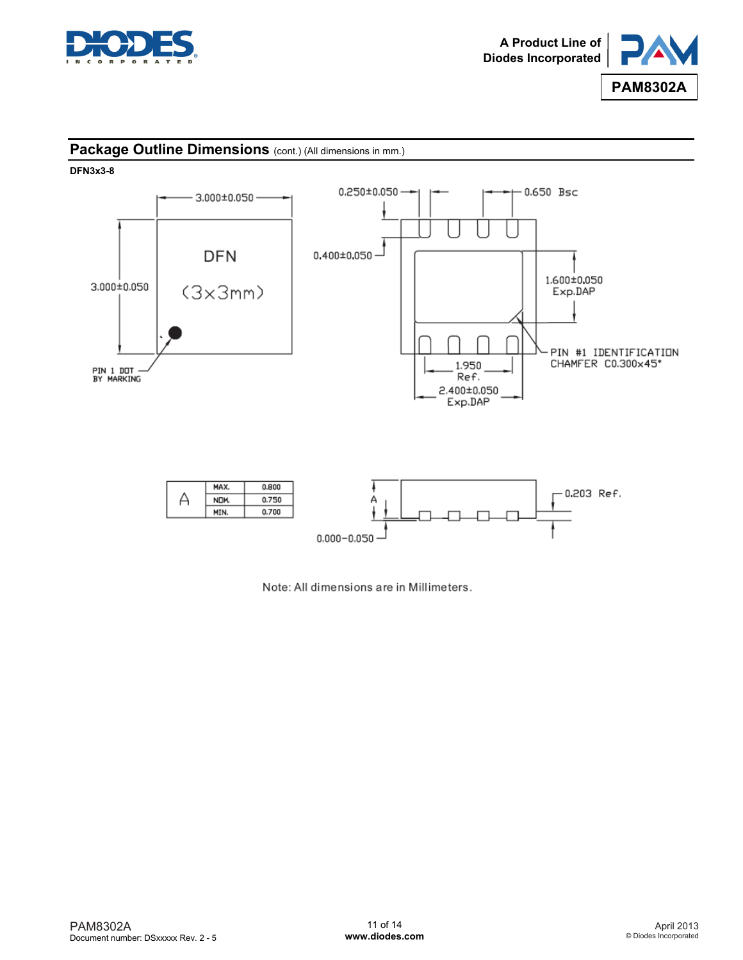



### Package Outline Dimensions (cont.) (All dimensions in mm.)

**DFN3x3-8** 



Note: All dimensions are in Millimeters.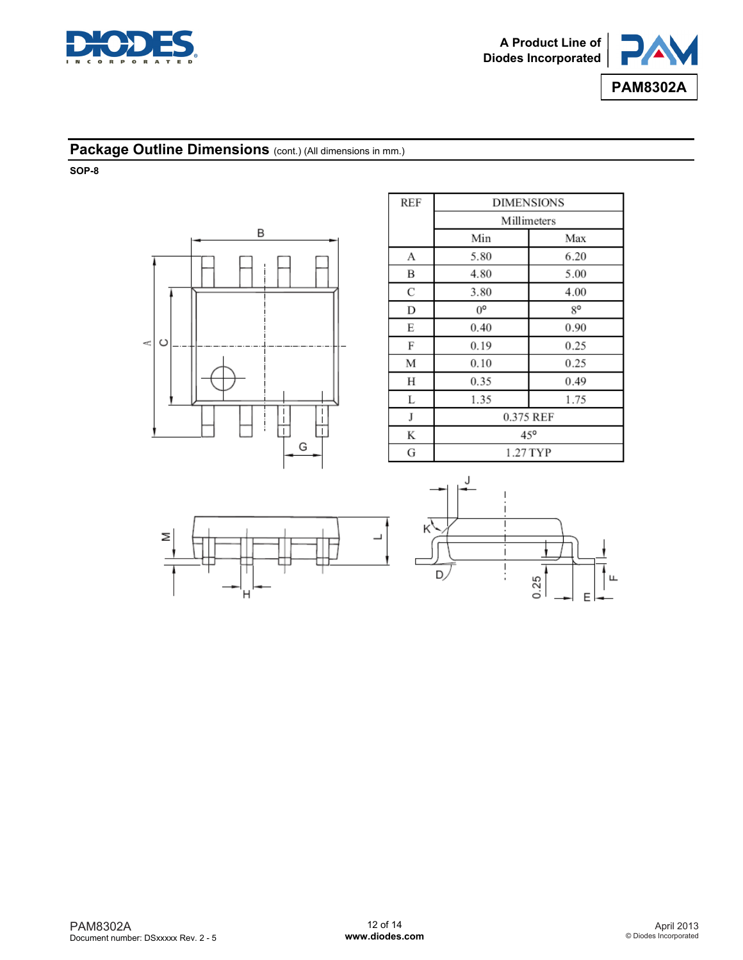



## **Package Outline Dimensions** (cont.) (All dimensions in mm.)

**SOP-8** 



| <b>REF</b> | <b>DIMENSIONS</b> |      |  |
|------------|-------------------|------|--|
|            | Millimeters       |      |  |
|            | Min               | Max  |  |
| А          | 5.80              | 6.20 |  |
| B          | 4.80              | 5.00 |  |
| C          | 3.80              | 4.00 |  |
| D          | $0^{\circ}$       | g٥   |  |
| E          | 0.40              | 0.90 |  |
| F          | 0.19              | 0.25 |  |
| М          | 0.10              | 0.25 |  |
| Н          | 0.35              | 0.49 |  |
| L          | 1.35              | 1.75 |  |
| J          | 0.375 REF         |      |  |
| K          | $45^{\circ}$      |      |  |
| G          | 1.27 TYP          |      |  |

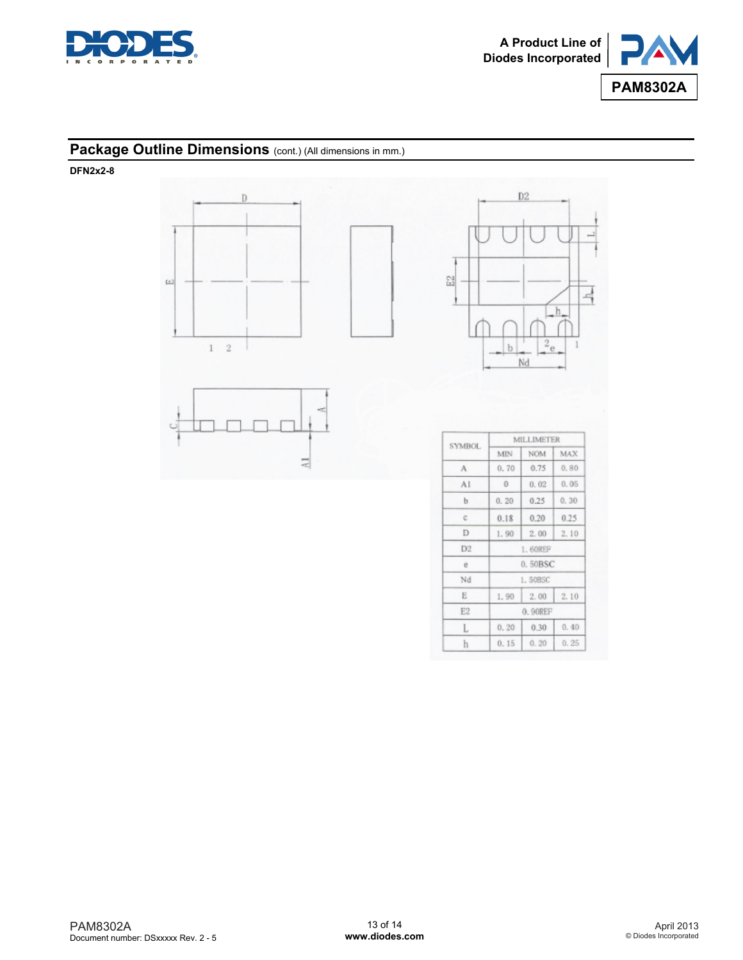

북



## **Package Outline Dimensions** (cont.) (All dimensions in mm.)

**DFN2x2-8** 



|                | MILLIMETER |            |      |  |
|----------------|------------|------------|------|--|
| <b>SYMBOL</b>  | MIN        | <b>NOM</b> | MAX  |  |
| А              | 0.70       | 0.75       | 0.80 |  |
| AI             | $\Omega$   | 0.02       | 0.05 |  |
| b              | 0.20       | 0.25       | 0.30 |  |
| c              | 0.18       | 0.20       | 0.25 |  |
| D              | 1.90       | 2.00       | 2.10 |  |
| D <sub>2</sub> | 1.60REF    |            |      |  |
| ē              | 0.50BSC    |            |      |  |
| Nd             |            | 1.50BSC    |      |  |
| Ε              | 1.90       | 2.00       | 2.10 |  |
| E2             | 0.90REF    |            |      |  |
| L              | 0.20       | 0.30       | 0.40 |  |
| h              | 0.15       | 0.20       | 0.25 |  |